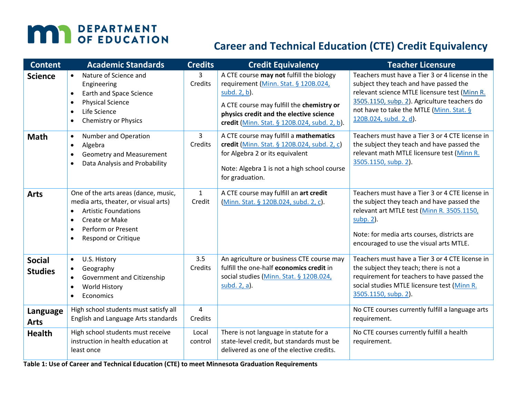# **MAY DEPARTMENT**

## **Career and Technical Education (CTE) Credit Equivalency**

| <b>Content</b>                  | <b>Academic Standards</b>                                                                                                                                                                                                      | <b>Credits</b>            | <b>Credit Equivalency</b>                                                                                                                                                                                                                | <b>Teacher Licensure</b>                                                                                                                                                                                                                                         |
|---------------------------------|--------------------------------------------------------------------------------------------------------------------------------------------------------------------------------------------------------------------------------|---------------------------|------------------------------------------------------------------------------------------------------------------------------------------------------------------------------------------------------------------------------------------|------------------------------------------------------------------------------------------------------------------------------------------------------------------------------------------------------------------------------------------------------------------|
| <b>Science</b>                  | Nature of Science and<br>$\bullet$<br>Engineering<br>Earth and Space Science<br>$\bullet$<br><b>Physical Science</b><br>$\bullet$<br>Life Science<br>$\bullet$<br><b>Chemistry or Physics</b><br>$\bullet$                     | 3<br>Credits              | A CTE course may not fulfill the biology<br>requirement (Minn. Stat. § 120B.024,<br>subd. 2, b).<br>A CTE course may fulfill the chemistry or<br>physics credit and the elective science<br>credit (Minn. Stat. § 120B.024, subd. 2, b). | Teachers must have a Tier 3 or 4 license in the<br>subject they teach and have passed the<br>relevant science MTLE licensure test (Minn R.<br>3505.1150, subp. 2). Agriculture teachers do<br>not have to take the MTLE (Minn. Stat. §<br>120B.024, subd. 2, d). |
| <b>Math</b>                     | Number and Operation<br>$\bullet$<br>Algebra<br>$\bullet$<br>Geometry and Measurement<br>$\bullet$<br>Data Analysis and Probability<br>$\bullet$                                                                               | $\overline{3}$<br>Credits | A CTE course may fulfill a mathematics<br>credit (Minn. Stat. § 120B.024, subd. 2, c)<br>for Algebra 2 or its equivalent<br>Note: Algebra 1 is not a high school course<br>for graduation.                                               | Teachers must have a Tier 3 or 4 CTE license in<br>the subject they teach and have passed the<br>relevant math MTLE licensure test (Minn R.<br>3505.1150, subp. 2).                                                                                              |
| <b>Arts</b>                     | One of the arts areas (dance, music,<br>media arts, theater, or visual arts)<br><b>Artistic Foundations</b><br>$\bullet$<br>Create or Make<br>$\bullet$<br>Perform or Present<br>$\bullet$<br>Respond or Critique<br>$\bullet$ | $\mathbf{1}$<br>Credit    | A CTE course may fulfill an art credit<br>(Minn. Stat. § 120B.024, subd. 2, c).                                                                                                                                                          | Teachers must have a Tier 3 or 4 CTE license in<br>the subject they teach and have passed the<br>relevant art MTLE test (Minn R. 3505.1150,<br>subp. 2).<br>Note: for media arts courses, districts are<br>encouraged to use the visual arts MTLE.               |
| <b>Social</b><br><b>Studies</b> | U.S. History<br>$\bullet$<br>Geography<br>$\bullet$<br>Government and Citizenship<br>$\bullet$<br><b>World History</b><br>$\bullet$<br>Economics<br>$\bullet$                                                                  | 3.5<br>Credits            | An agriculture or business CTE course may<br>fulfill the one-half economics credit in<br>social studies (Minn. Stat. § 120B.024,<br>subd. 2, a).                                                                                         | Teachers must have a Tier 3 or 4 CTE license in<br>the subject they teach; there is not a<br>requirement for teachers to have passed the<br>social studies MTLE licensure test (Minn R.<br>3505.1150, subp. 2).                                                  |
| Language<br><b>Arts</b>         | High school students must satisfy all<br>English and Language Arts standards                                                                                                                                                   | 4<br>Credits              |                                                                                                                                                                                                                                          | No CTE courses currently fulfill a language arts<br>requirement.                                                                                                                                                                                                 |
| <b>Health</b>                   | High school students must receive<br>instruction in health education at<br>least once                                                                                                                                          | Local<br>control          | There is not language in statute for a<br>state-level credit, but standards must be<br>delivered as one of the elective credits.                                                                                                         | No CTE courses currently fulfill a health<br>requirement.                                                                                                                                                                                                        |

**Table 1: Use of Career and Technical Education (CTE) to meet Minnesota Graduation Requirements**